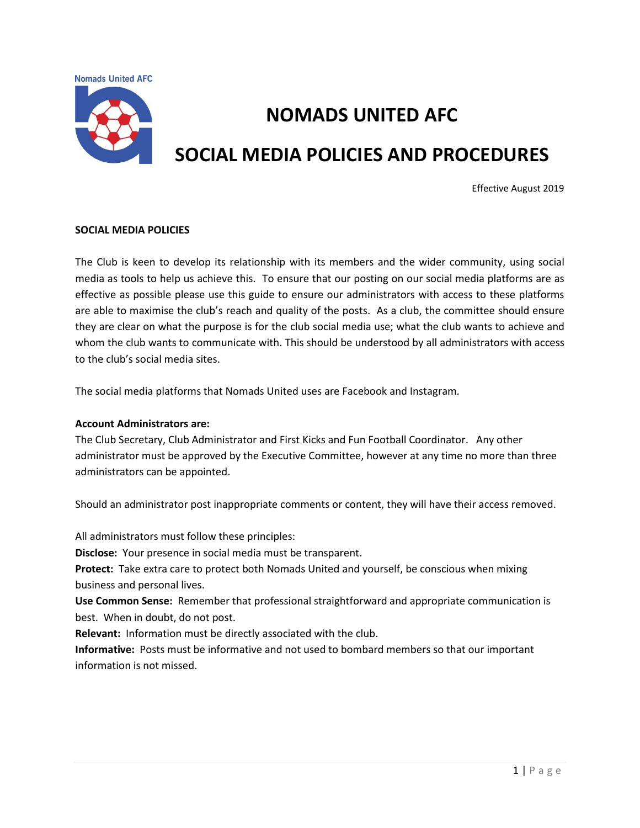**Nomads United AFC** 



# **NOMADS UNITED AFC SOCIAL MEDIA POLICIES AND PROCEDURES**

## Effective August 2019

#### **SOCIAL MEDIA POLICIES**

The Club is keen to develop its relationship with its members and the wider community, using social media as tools to help us achieve this. To ensure that our posting on our social media platforms are as effective as possible please use this guide to ensure our administrators with access to these platforms are able to maximise the club's reach and quality of the posts. As a club, the committee should ensure they are clear on what the purpose is for the club social media use; what the club wants to achieve and whom the club wants to communicate with. This should be understood by all administrators with access to the club's social media sites.

The social media platforms that Nomads United uses are Facebook and Instagram.

#### **Account Administrators are:**

The Club Secretary, Club Administrator and First Kicks and Fun Football Coordinator. Any other administrator must be approved by the Executive Committee, however at any time no more than three administrators can be appointed.

Should an administrator post inappropriate comments or content, they will have their access removed.

All administrators must follow these principles:

**Disclose:** Your presence in social media must be transparent.

**Protect:** Take extra care to protect both Nomads United and yourself, be conscious when mixing business and personal lives.

**Use Common Sense:** Remember that professional straightforward and appropriate communication is best. When in doubt, do not post.

**Relevant:** Information must be directly associated with the club.

**Informative:** Posts must be informative and not used to bombard members so that our important information is not missed.